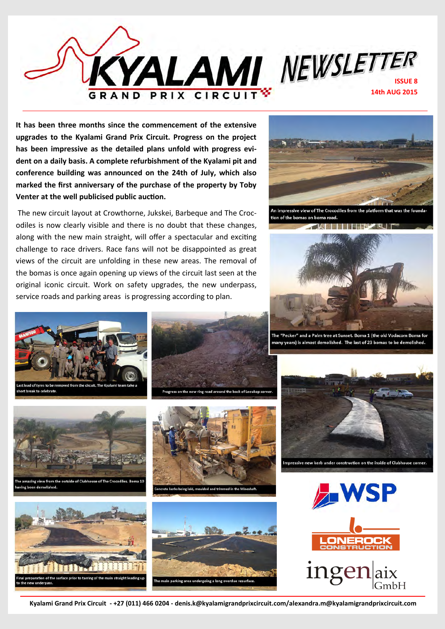

**It has been three months since the commencement of the extensive upgrades to the Kyalami Grand Prix Circuit. Progress on the project has been impressive as the detailed plans unfold with progress evident on a daily basis. A complete refurbishment of the Kyalami pit and conference building was announced on the 24th of July, which also marked the first anniversary of the purchase of the property by Toby Venter at the well publicised public auction.**

 The new circuit layout at Crowthorne, Jukskei, Barbeque and The Crocodiles is now clearly visible and there is no doubt that these changes, along with the new main straight, will offer a spectacular and exciting challenge to race drivers. Race fans will not be disappointed as great views of the circuit are unfolding in these new areas. The removal of the bomas is once again opening up views of the circuit last seen at the original iconic circuit. Work on safety upgrades, the new underpass, service roads and parking areas is progressing according to plan.



.<br>An impressive view of The Crocodiles from the platform that was the founda tion of the bomas on boma road.



The "Pecker" and a Palm tree at Sunset. Boma 1 (the old Vodacom Boma for many years) is almost demolished. The last of 23 bomas to be demolished.



d of tyres to be ort break to celebrate







d the hack of Leeuk







**Kyalami Grand Prix Circuit - +27 (011) 466 0204 - denis.k@kyalamigrandprixcircuit.com/alexandra.m@kyalamigrandprixcircuit.com**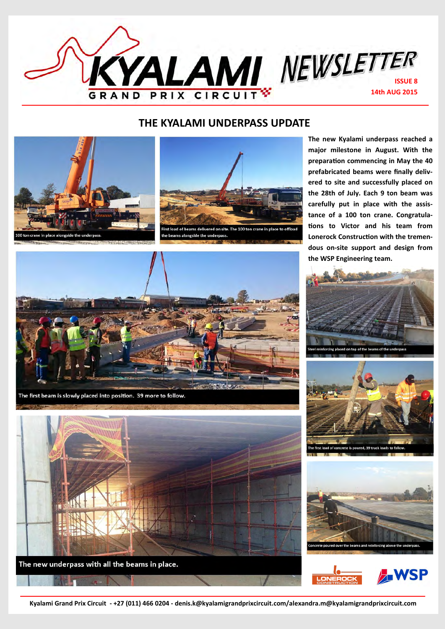

## **THE KYALAMI UNDERPASS UPDATE**







The first beam is slowly placed into position. 39 more to follow.



The new underpass with all the beams in place.

**The new Kyalami underpass reached a major milestone in August. With the preparation commencing in May the 40 prefabricated beams were finally delivered to site and successfully placed on the 28th of July. Each 9 ton beam was carefully put in place with the assistance of a 100 ton crane. Congratulations to Victor and his team from Lonerock Construction with the tremendous on-site support and design from the WSP Engineering team.**









**Kyalami Grand Prix Circuit - +27 (011) 466 0204 - denis.k@kyalamigrandprixcircuit.com/alexandra.m@kyalamigrandprixcircuit.com**

**OLD TYRES AND BELTING (PLACED IN 1991) ARE BEING REMOVED FROM THE CIRCUIT TO BE REPLACED WITH NEW YORK WITH NEW YORK WITH NEW YORK WITH NEW YORK WITH NEW YORK WITH NEW YORK WITH NEW**